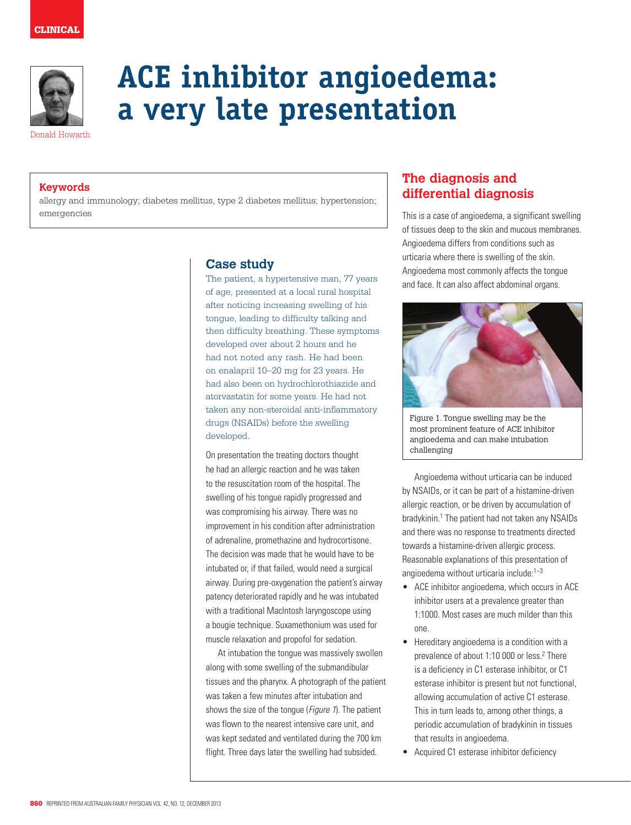

# **ACE inhibitor angioedema: a very late presentation**

Donald Howarth

# **Keywords**

allergy and immunology; diabetes mellitus, type 2 diabetes mellitus; hypertension; emergencies

# **Case study**

The patient, a hypertensive man, 77 years of age, presented at a local rural hospital after noticing increasing swelling of his tongue, leading to difficulty talking and then difficulty breathing. These symptoms developed over about 2 hours and he had not noted any rash. He had been on enalapril 10–20 mg for 23 years. He had also been on hydrochlorothiazide and atorvastatin for some years. He had not taken any non-steroidal anti-inflammatory drugs (NSAIDs) before the swelling developed.

On presentation the treating doctors thought he had an allergic reaction and he was taken to the resuscitation room of the hospital. The swelling of his tongue rapidly progressed and was compromising his airway. There was no improvement in his condition after administration of adrenaline, promethazine and hydrocortisone. The decision was made that he would have to be intubated or, if that failed, would need a surgical airway. During pre-oxygenation the patient's airway patency deteriorated rapidly and he was intubated with a traditional MacIntosh laryngoscope using a bougie technique. Suxamethonium was used for muscle relaxation and propofol for sedation.

At intubation the tongue was massively swollen along with some swelling of the submandibular tissues and the pharynx. A photograph of the patient was taken a few minutes after intubation and shows the size of the tongue (*Figure 1*). The patient was flown to the nearest intensive care unit, and was kept sedated and ventilated during the 700 km flight. Three days later the swelling had subsided.

# **The diagnosis and differential diagnosis**

This is a case of angioedema, a significant swelling of tissues deep to the skin and mucous membranes. Angioedema differs from conditions such as urticaria where there is swelling of the skin. Angioedema most commonly affects the tongue and face. It can also affect abdominal organs.



Figure 1. Tongue swelling may be the most prominent feature of ACE inhibitor angioedema and can make intubation challenging

Angioedema without urticaria can be induced by NSAIDs, or it can be part of a histamine-driven allergic reaction, or be driven by accumulation of bradykinin.<sup>1</sup> The patient had not taken any NSAIDs and there was no response to treatments directed towards a histamine-driven allergic process. Reasonable explanations of this presentation of angioedema without urticaria include:1–3

- ACE inhibitor angioedema, which occurs in ACE inhibitor users at a prevalence greater than 1:1000. Most cases are much milder than this one.
- Hereditary angioedema is a condition with a prevalence of about 1:10 000 or less.<sup>2</sup> There is a deficiency in C1 esterase inhibitor, or C1 esterase inhibitor is present but not functional, allowing accumulation of active C1 esterase. This in turn leads to, among other things, a periodic accumulation of bradykinin in tissues that results in angioedema.
- • Acquired C1 esterase inhibitor deficiency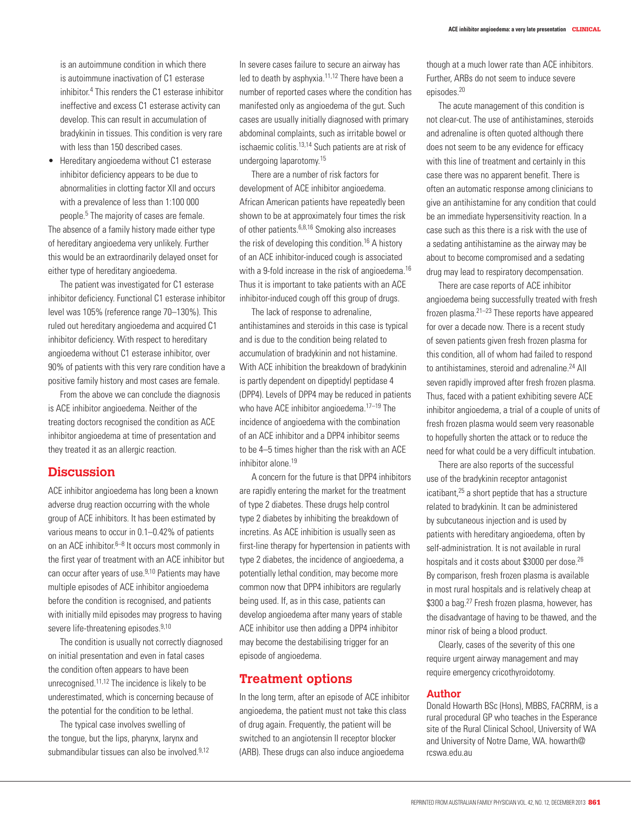is an autoimmune condition in which there is autoimmune inactivation of C1 esterase inhibitor.4 This renders the C1 esterase inhibitor ineffective and excess C1 esterase activity can develop. This can result in accumulation of bradykinin in tissues. This condition is very rare with less than 150 described cases.

Hereditary angioedema without C1 esterase inhibitor deficiency appears to be due to abnormalities in clotting factor XII and occurs with a prevalence of less than 1:100 000 people.5 The majority of cases are female.

The absence of a family history made either type of hereditary angioedema very unlikely. Further this would be an extraordinarily delayed onset for either type of hereditary angioedema.

The patient was investigated for C1 esterase inhibitor deficiency. Functional C1 esterase inhibitor level was 105% (reference range 70–130%). This ruled out hereditary angioedema and acquired C1 inhibitor deficiency. With respect to hereditary angioedema without C1 esterase inhibitor, over 90% of patients with this very rare condition have a positive family history and most cases are female.

From the above we can conclude the diagnosis is ACE inhibitor angioedema. Neither of the treating doctors recognised the condition as ACE inhibitor angioedema at time of presentation and they treated it as an allergic reaction.

## **Discussion**

ACE inhibitor angioedema has long been a known adverse drug reaction occurring with the whole group of ACE inhibitors. It has been estimated by various means to occur in 0.1–0.42% of patients on an ACE inhibitor. $6-8$  It occurs most commonly in the first year of treatment with an ACE inhibitor but can occur after years of use.9,10 Patients may have multiple episodes of ACE inhibitor angioedema before the condition is recognised, and patients with initially mild episodes may progress to having severe life-threatening episodes.<sup>9,10</sup>

The condition is usually not correctly diagnosed on initial presentation and even in fatal cases the condition often appears to have been unrecognised.11,12 The incidence is likely to be underestimated, which is concerning because of the potential for the condition to be lethal.

The typical case involves swelling of the tongue, but the lips, pharynx, larynx and submandibular tissues can also be involved.<sup>9,12</sup> In severe cases failure to secure an airway has led to death by asphyxia.<sup>11,12</sup> There have been a number of reported cases where the condition has manifested only as angioedema of the gut. Such cases are usually initially diagnosed with primary abdominal complaints, such as irritable bowel or ischaemic colitis.13,14 Such patients are at risk of undergoing laparotomy.15

There are a number of risk factors for development of ACE inhibitor angioedema. African American patients have repeatedly been shown to be at approximately four times the risk of other patients.6,8,16 Smoking also increases the risk of developing this condition.<sup>16</sup> A history of an ACE inhibitor-induced cough is associated with a 9-fold increase in the risk of angioedema.<sup>16</sup> Thus it is important to take patients with an ACE inhibitor-induced cough off this group of drugs.

The lack of response to adrenaline, antihistamines and steroids in this case is typical and is due to the condition being related to accumulation of bradykinin and not histamine. With ACE inhibition the breakdown of bradykinin is partly dependent on dipeptidyl peptidase 4 (DPP4). Levels of DPP4 may be reduced in patients who have ACE inhibitor angioedema.<sup>17–19</sup> The incidence of angioedema with the combination of an ACE inhibitor and a DPP4 inhibitor seems to be 4–5 times higher than the risk with an ACE inhibitor alone.19

A concern for the future is that DPP4 inhibitors are rapidly entering the market for the treatment of type 2 diabetes. These drugs help control type 2 diabetes by inhibiting the breakdown of incretins. As ACE inhibition is usually seen as first-line therapy for hypertension in patients with type 2 diabetes, the incidence of angioedema, a potentially lethal condition, may become more common now that DPP4 inhibitors are regularly being used. If, as in this case, patients can develop angioedema after many years of stable ACE inhibitor use then adding a DPP4 inhibitor may become the destabilising trigger for an episode of angioedema.

### **Treatment options**

In the long term, after an episode of ACE inhibitor angioedema, the patient must not take this class of drug again. Frequently, the patient will be switched to an angiotensin II receptor blocker (ARB). These drugs can also induce angioedema

though at a much lower rate than ACE inhibitors. Further, ARBs do not seem to induce severe episodes.20

The acute management of this condition is not clear-cut. The use of antihistamines, steroids and adrenaline is often quoted although there does not seem to be any evidence for efficacy with this line of treatment and certainly in this case there was no apparent benefit. There is often an automatic response among clinicians to give an antihistamine for any condition that could be an immediate hypersensitivity reaction. In a case such as this there is a risk with the use of a sedating antihistamine as the airway may be about to become compromised and a sedating drug may lead to respiratory decompensation.

There are case reports of ACE inhibitor angioedema being successfully treated with fresh frozen plasma.21–23 These reports have appeared for over a decade now. There is a recent study of seven patients given fresh frozen plasma for this condition, all of whom had failed to respond to antihistamines, steroid and adrenaline.<sup>24</sup> All seven rapidly improved after fresh frozen plasma. Thus, faced with a patient exhibiting severe ACE inhibitor angioedema, a trial of a couple of units of fresh frozen plasma would seem very reasonable to hopefully shorten the attack or to reduce the need for what could be a very difficult intubation.

There are also reports of the successful use of the bradykinin receptor antagonist icatibant,25 a short peptide that has a structure related to bradykinin. It can be administered by subcutaneous injection and is used by patients with hereditary angioedema, often by self-administration. It is not available in rural hospitals and it costs about \$3000 per dose.<sup>26</sup> By comparison, fresh frozen plasma is available in most rural hospitals and is relatively cheap at \$300 a bag.<sup>27</sup> Fresh frozen plasma, however, has the disadvantage of having to be thawed, and the minor risk of being a blood product.

Clearly, cases of the severity of this one require urgent airway management and may require emergency cricothyroidotomy.

#### **Author**

Donald Howarth BSc (Hons), MBBS, FACRRM, is a rural procedural GP who teaches in the Esperance site of the Rural Clinical School, University of WA and University of Notre Dame, WA. howarth@ rcswa.edu.au